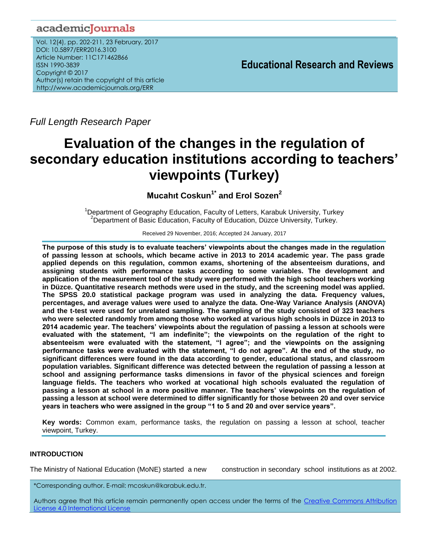## academicJournals

Vol. 12(4), pp. 202-211, 23 February, 2017 DOI: 10.5897/ERR2016.3100 Article Number: 11C171462866 ISSN 1990-3839 Copyright © 2017 Author(s) retain the copyright of this article http://www.academicjournals.org/ERR

**Educational Research and Reviews**

*Full Length Research Paper*

# **Evaluation of the changes in the regulation of secondary education institutions according to teachers' viewpoints (Turkey)**

**Mucahıt Coskun1\* and Erol Sozen<sup>2</sup>**

<sup>1</sup>Department of Geography Education, Faculty of Letters, Karabuk University, Turkey <sup>2</sup>Department of Basic Education, Faculty of Education, Düzce University, Turkey.

Received 29 November, 2016; Accepted 24 January, 2017

**The purpose of this study is to evaluate teachers' viewpoints about the changes made in the regulation of passing lesson at schools, which became active in 2013 to 2014 academic year. The pass grade applied depends on this regulation, common exams, shortening of the absenteeism durations, and assigning students with performance tasks according to some variables. The development and application of the measurement tool of the study were performed with the high school teachers working in Düzce. Quantitative research methods were used in the study, and the screening model was applied. The SPSS 20.0 statistical package program was used in analyzing the data. Frequency values, percentages, and average values were used to analyze the data. One-Way Variance Analysis (ANOVA) and the t-test were used for unrelated sampling. The sampling of the study consisted of 323 teachers who were selected randomly from among those who worked at various high schools in Düzce in 2013 to 2014 academic year. The teachers' viewpoints about the regulation of passing a lesson at schools were evaluated with the statement, "I am indefinite"; the viewpoints on the regulation of the right to absenteeism were evaluated with the statement, "I agree"; and the viewpoints on the assigning performance tasks were evaluated with the statement, "I do not agree". At the end of the study, no significant differences were found in the data according to gender, educational status, and classroom population variables. Significant difference was detected between the regulation of passing a lesson at school and assigning performance tasks dimensions in favor of the physical sciences and foreign language fields. The teachers who worked at vocational high schools evaluated the regulation of passing a lesson at school in a more positive manner. The teachers' viewpoints on the regulation of passing a lesson at school were determined to differ significantly for those between 20 and over service years in teachers who were assigned in the group "1 to 5 and 20 and over service years".** 

**Key words:** Common exam, performance tasks, the regulation on passing a lesson at school, teacher viewpoint, Turkey.

## **INTRODUCTION**

The Ministry of National Education (MoNE) started a new construction in secondary school institutions as at 2002.

\*Corresponding author. E-mail: mcoskun@karabuk.edu.tr.

Authors agree that this article remain permanently open access under the terms of the Creative Commons Attribution [License 4.0 International License](file://192.168.1.24/reading/Arts%20and%20Education/ERR/2014/sept/read/Correction%20Pdf%201/ERR-17.04.14-1816/Publication/Creative%20Co)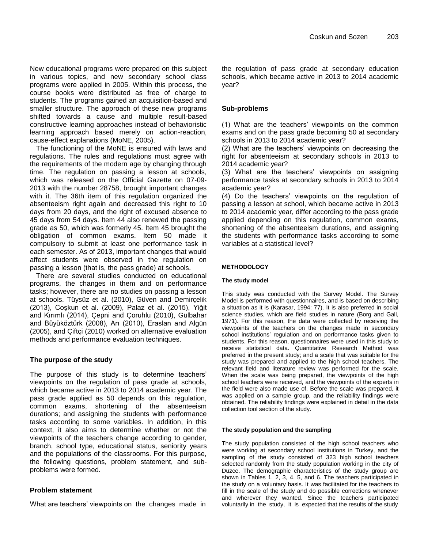New educational programs were prepared on this subject in various topics, and new secondary school class programs were applied in 2005. Within this process, the course books were distributed as free of charge to students. The programs gained an acquisition-based and smaller structure. The approach of these new programs shifted towards a cause and multiple result-based constructive learning approaches instead of behavioristic learning approach based merely on action-reaction, cause-effect explanation*s* (MoNE, 2005).

The functioning of the MoNE is ensured with laws and regulations. The rules and regulations must agree with the requirements of the modern age by changing through time. The regulation on passing a lesson at schools, which was released on the Official Gazette on 07-09- 2013 with the number 28758, brought important changes with it. The 36th item of this regulation organized the absenteeism right again and decreased this right to 10 days from 20 days, and the right of excused absence to 45 days from 54 days. Item 44 also renewed the passing grade as 50, which was formerly 45. Item 45 brought the obligation of common exams. Item 50 made it compulsory to submit at least one performance task in each semester. As of 2013, important changes that would affect students were observed in the regulation on passing a lesson (that is, the pass grade) at schools.

There are several studies conducted on educational programs, the changes in them and on performance tasks; however, there are no studies on passing a lesson at schools. Tüysüz et al. (2010), Güven and Demirçelik (2013), Coşkun et al. (2009), Palaz et al. (2015), Yiğit and Kırımlı (2014), Çepni and Çoruhlu (2010), Gülbahar and Büyüköztürk (2008), Arı (2010), Eraslan and Algün (2005), and Çiftçi (2010) worked on alternative evaluation methods and performance evaluation techniques.

#### **The purpose of the study**

The purpose of this study is to determine teachers' viewpoints on the regulation of pass grade at schools, which became active in 2013 to 2014 academic year. The pass grade applied as 50 depends on this regulation, common exams, shortening of the absenteeism durations; and assigning the students with performance tasks according to some variables. In addition, in this context, it also aims to determine whether or not the viewpoints of the teachers change according to gender, branch, school type, educational status, seniority years and the populations of the classrooms. For this purpose, the following questions, problem statement, and subproblems were formed.

## **Problem statement**

What are teachers' viewpoints on the changes made in

the regulation of pass grade at secondary education schools, which became active in 2013 to 2014 academic year?

## **Sub-problems**

(1) What are the teachers' viewpoints on the common exams and on the pass grade becoming 50 at secondary schools in 2013 to 2014 academic year?

(2) What are the teachers' viewpoints on decreasing the right for absenteeism at secondary schools in 2013 to 2014 academic year?

(3) What are the teachers' viewpoints on assigning performance tasks at secondary schools in 2013 to 2014 academic year?

(4) Do the teachers' viewpoints on the regulation of passing a lesson at school, which became active in 2013 to 2014 academic year, differ according to the pass grade applied depending on this regulation, common exams, shortening of the absenteeism durations, and assigning the students with performance tasks according to some variables at a statistical level?

#### **METHODOLOGY**

#### **The study model**

This study was conducted with the Survey Model. The Survey Model is performed with questionnaires, and is based on describing a situation as it is (Karasar, 1994: 77). It is also preferred in social science studies, which are field studies in nature (Borg and Gall, 1971). For this reason, the data were collected by receiving the viewpoints of the teachers on the changes made in secondary school institutions' regulation and on performance tasks given to students. For this reason, questionnaires were used in this study to receive statistical data. Quantitative Research Method was preferred in the present study; and a scale that was suitable for the study was prepared and applied to the high school teachers. The relevant field and literature review was performed for the scale. When the scale was being prepared, the viewpoints of the high school teachers were received, and the viewpoints of the experts in the field were also made use of. Before the scale was prepared, it was applied on a sample group, and the reliability findings were obtained. The reliability findings were explained in detail in the data collection tool section of the study.

#### **The study population and the sampling**

The study population consisted of the high school teachers who were working at secondary school institutions in Turkey, and the sampling of the study consisted of 323 high school teachers selected randomly from the study population working in the city of Düzce. The demographic characteristics of the study group are shown in Tables 1, 2, 3, 4, 5, and 6. The teachers participated in the study on a voluntary basis. It was facilitated for the teachers to fill in the scale of the study and do possible corrections whenever and wherever they wanted. Since the teachers participated voluntarily in the study, it is expected that the results of the study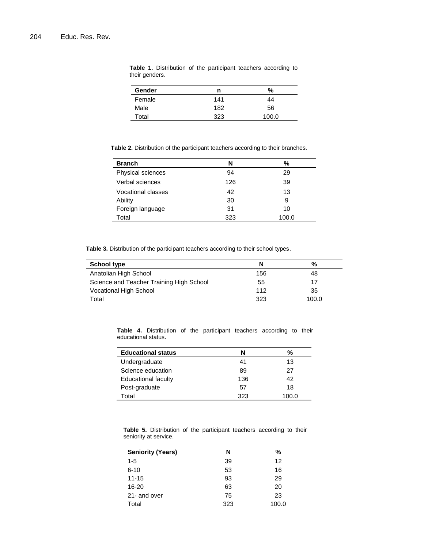| Gender | n   | %     |
|--------|-----|-------|
| Female | 141 | 44    |
| Male   | 182 | 56    |
| Total  | 323 | 100.0 |

**Table 1.** Distribution of the participant teachers according to their genders.

**Table 2.** Distribution of the participant teachers according to their branches.

| <b>Branch</b>      | N   | ℅     |
|--------------------|-----|-------|
| Physical sciences  | 94  | 29    |
| Verbal sciences    | 126 | 39    |
| Vocational classes | 42  | 13    |
| Ability            | 30  | 9     |
| Foreign language   | 31  | 10    |
| Total              | 323 | 100.0 |

**Table 3.** Distribution of the participant teachers according to their school types.

| <b>School type</b>                       | N   | %     |
|------------------------------------------|-----|-------|
| Anatolian High School                    | 156 | 48    |
| Science and Teacher Training High School | 55  | 17    |
| Vocational High School                   | 112 | 35    |
| Total                                    | 323 | 100.0 |

**Table 4.** Distribution of the participant teachers according to their educational status.

| <b>Educational status</b>  | N   | %     |
|----------------------------|-----|-------|
| Undergraduate              | 41  | 13    |
| Science education          | 89  | 27    |
| <b>Educational faculty</b> | 136 | 42    |
| Post-graduate              | 57  | 18    |
| Total                      | 323 | 100.0 |

**Table 5.** Distribution of the participant teachers according to their seniority at service.

| <b>Seniority (Years)</b> | N   | %     |
|--------------------------|-----|-------|
| $1 - 5$                  | 39  | 12    |
| $6 - 10$                 | 53  | 16    |
| $11 - 15$                | 93  | 29    |
| 16-20                    | 63  | 20    |
| 21- and over             | 75  | 23    |
| Total                    | 323 | 100.0 |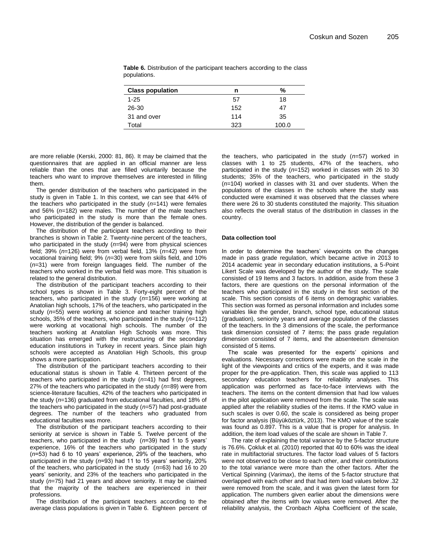| <b>Class population</b> | n   | %     |
|-------------------------|-----|-------|
| $1 - 25$                | 57  | 18    |
| 26-30                   | 152 | 47    |
| 31 and over             | 114 | 35    |
| Total                   | 323 | 100.0 |

**Table 6.** Distribution of the participant teachers according to the class populations.

are more reliable (Kerski, 2000: 81, 86). It may be claimed that the questionnaires that are applied in an official manner are less reliable than the ones that are filled voluntarily because the teachers who want to improve themselves are interested in filling them.

The gender distribution of the teachers who participated in the study is given in Table 1. In this context, we can see that 44% of the teachers who participated in the study (*n*=141) were females and 56% (*n*=182) were males. The number of the male teachers who participated in the study is more than the female ones. However, the distribution of the gender is balanced.

The distribution of the participant teachers according to their branches is shown in Table 2. Twenty-nine percent of the teachers, who participated in the study (*n*=94) were from physical sciences field; 39% (*n*=126) were from verbal field, 13% (*n*=42) were from vocational training field; 9% (*n*=30) were from skills field, and 10% (*n*=31) were from foreign languages field. The number of the teachers who worked in the verbal field was more. This situation is related to the general distribution.

The distribution of the participant teachers according to their school types is shown in Table 3. Forty-eight percent of the teachers, who participated in the study (*n*=156) were working at Anatolian high schools, 17% of the teachers, who participated in the study (*n*=55) were working at science and teacher training high schools, 35% of the teachers, who participated in the study (*n*=112) were working at vocational high schools. The number of the teachers working at Anatolian High Schools was more. This situation has emerged with the restructuring of the secondary education institutions in Turkey in recent years. Since plain high schools were accepted as Anatolian High Schools, this group shows a more participation.

The distribution of the participant teachers according to their educational status is shown in Table 4. Thirteen percent of the teachers who participated in the study (*n*=41) had first degrees, 27% of the teachers who participated in the study (*n*=89) were from science-literature faculties, 42% of the teachers who participated in the study (*n*=136) graduated from educational faculties, and 18% of the teachers who participated in the study (*n*=57) had post-graduate degrees. The number of the teachers who graduated from educational faculties was more.

The distribution of the participant teachers according to their seniority at service is shown in Table 5. Twelve percent of the teachers, who participated in the study (*n*=39) had 1 to 5 years' experience, 16% of the teachers who participated in the study (*n*=53) had 6 to 10 years' experience, 29% of the teachers, who participated in the study (*n*=93) had 11 to 15 years' seniority, 20% of the teachers, who participated in the study (*n*=63) had 16 to 20 years' seniority, and 23% of the teachers who participated in the study (*n*=75) had 21 years and above seniority. It may be claimed that the majority of the teachers are experienced in their professions.

The distribution of the participant teachers according to the average class populations is given in Table 6. Eighteen percent of

the teachers, who participated in the study (*n*=57) worked in classes with 1 to 25 students, 47% of the teachers, who participated in the study (*n*=152) worked in classes with 26 to 30 students; 35% of the teachers, who participated in the study (*n*=104) worked in classes with 31 and over students. When the populations of the classes in the schools where the study was conducted were examined it was observed that the classes where there were 26 to 30 students constituted the majority. This situation also reflects the overall status of the distribution in classes in the country.

#### **Data collection tool**

In order to determine the teachers' viewpoints on the changes made in pass grade regulation, which became active in 2013 to 2014 academic year in secondary education institutions, a 5-Point Likert Scale was developed by the author of the study. The scale consisted of 19 Items and 3 factors. In addition, aside from these 3 factors, there are questions on the personal information of the teachers who participated in the study in the first section of the scale. This section consists of 6 items on demographic variables. This section was formed as personal information and includes some variables like the gender, branch, school type, educational status (graduation), seniority years and average population of the classes of the teachers. In the 3 dimensions of the scale, the performance task dimension consisted of 7 items; the pass grade regulation dimension consisted of 7 items, and the absenteeism dimension consisted of 5 items.

The scale was presented for the experts' opinions and evaluations. Necessary corrections were made on the scale in the light of the viewpoints and critics of the experts, and it was made proper for the pre-application. Then, this scale was applied to 113 secondary education teachers for reliability analyses. This application was performed as face-to-face interviews with the teachers. The items on the content dimension that had low values in the pilot application were removed from the scale. The scale was applied after the reliability studies of the items. If the KMO value in such scales is over 0.60, the scale is considered as being proper for factor analysis (Büyüköztürk, 2013). The KMO value of the scale was found as 0.897. This is a value that is proper for analysis. In addition, the item load values of the scale are shown in Table 7.

The rate of explaining the total variance by the 5-factor structure is 76.6%. Çokluk et al. (2010) reported that 40 to 60% was the ideal rate in multifactorial structures. The factor load values of 5 factors were not observed to be close to each other, and their contributions to the total variance were more than the other factors. After the Vertical Spinning (*Varimax*), the items of the 5-factor structure that overlapped with each other and that had item load values below .32 were removed from the scale, and it was given the latest form for application. The numbers given earlier about the dimensions were obtained after the items with low values were removed. After the reliability analysis, the Cronbach Alpha Coefficient of the scale,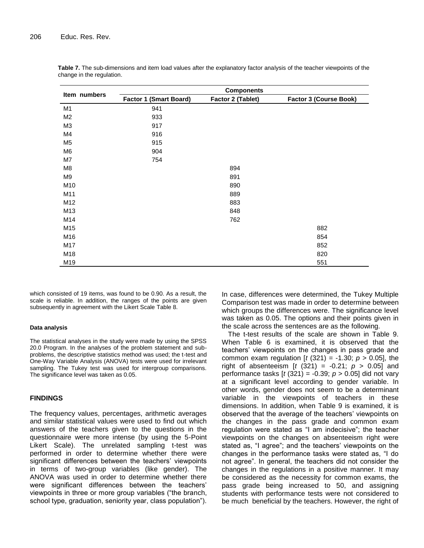|                |                               | <b>Components</b> |                               |
|----------------|-------------------------------|-------------------|-------------------------------|
| Item numbers   | <b>Factor 1 (Smart Board)</b> | Factor 2 (Tablet) | <b>Factor 3 (Course Book)</b> |
| M <sub>1</sub> | 941                           |                   |                               |
| M <sub>2</sub> | 933                           |                   |                               |
| M3             | 917                           |                   |                               |
| M4             | 916                           |                   |                               |
| M <sub>5</sub> | 915                           |                   |                               |
| M <sub>6</sub> | 904                           |                   |                               |
| M7             | 754                           |                   |                               |
| M8             |                               | 894               |                               |
| M <sub>9</sub> |                               | 891               |                               |
| M10            |                               | 890               |                               |
| M11            |                               | 889               |                               |
| M12            |                               | 883               |                               |
| M13            |                               | 848               |                               |
| M14            |                               | 762               |                               |
| M15            |                               |                   | 882                           |
| M16            |                               |                   | 854                           |
| M17            |                               |                   | 852                           |
| M18            |                               |                   | 820                           |
| M19            |                               |                   | 551                           |

**Table 7.** The sub-dimensions and item load values after the explanatory factor analysis of the teacher viewpoints of the change in the regulation.

which consisted of 19 items, was found to be 0.90. As a result, the scale is reliable. In addition, the ranges of the points are given subsequently in agreement with the Likert Scale Table 8.

#### **Data analysis**

The statistical analyses in the study were made by using the SPSS 20.0 Program. In the analyses of the problem statement and subproblems, the descriptive statistics method was used; the t-test and One-Way Variable Analysis (ANOVA) tests were used for irrelevant sampling. The Tukey test was used for intergroup comparisons. The significance level was taken as 0.05.

#### **FINDINGS**

The frequency values, percentages, arithmetic averages and similar statistical values were used to find out which answers of the teachers given to the questions in the questionnaire were more intense (by using the 5-Point Likert Scale). The unrelated sampling t-test was performed in order to determine whether there were significant differences between the teachers' viewpoints in terms of two-group variables (like gender). The ANOVA was used in order to determine whether there were significant differences between the teachers' viewpoints in three or more group variables ("the branch, school type, graduation, seniority year, class population"). In case, differences were determined, the Tukey Multiple Comparison test was made in order to determine between which groups the differences were. The significance level was taken as 0.05. The options and their points given in the scale across the sentences are as the following.

The t-test results of the scale are shown in Table 9. When Table 6 is examined, it is observed that the teachers' viewpoints on the changes in pass grade and common exam regulation [*t* (321) = -1.30; *p* > 0.05], the right of absenteeism [*t* (321) = -0.21; *p* > 0.05] and performance tasks [*t* (321) = -0.39; *p* > 0.05] did not vary at a significant level according to gender variable. In other words, gender does not seem to be a determinant variable in the viewpoints of teachers in these dimensions. In addition, when Table 9 is examined, it is observed that the average of the teachers' viewpoints on the changes in the pass grade and common exam regulation were stated as "I am indecisive"; the teacher viewpoints on the changes on absenteeism right were stated as, "I agree"; and the teachers' viewpoints on the changes in the performance tasks were stated as, "I do not agree". In general, the teachers did not consider the changes in the regulations in a positive manner. It may be considered as the necessity for common exams, the pass grade being increased to 50, and assigning students with performance tests were not considered to be much beneficial by the teachers. However, the right of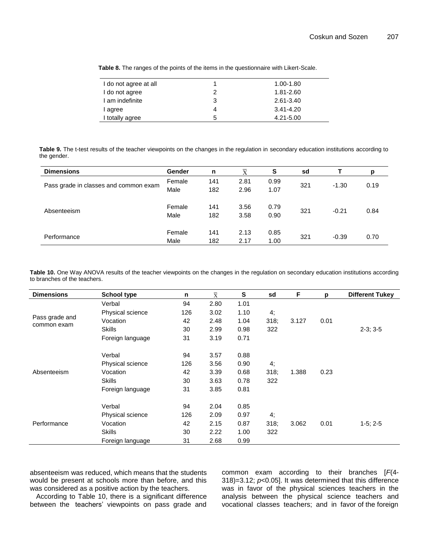| I do not agree at all |   | 1.00-1.80     |
|-----------------------|---|---------------|
| I do not agree        | 2 | 1.81-2.60     |
| I am indefinite       | 3 | 2.61-3.40     |
| l agree               | 4 | $3.41 - 4.20$ |
| I totally agree       | 5 | 4.21-5.00     |

**Table 8.** The ranges of the points of the items in the questionnaire with Likert-Scale.

**Table 9.** The t-test results of the teacher viewpoints on the changes in the regulation in secondary education institutions according to the gender.

| <b>Dimensions</b>                     | Gender | n   | X    | S    | sd  |         | р    |
|---------------------------------------|--------|-----|------|------|-----|---------|------|
|                                       | Female | 141 | 2.81 | 0.99 | 321 |         | 0.19 |
| Pass grade in classes and common exam | Male   | 182 | 2.96 | 1.07 |     | $-1.30$ |      |
|                                       | Female | 141 | 3.56 | 0.79 |     |         |      |
| Absenteeism                           | Male   | 182 | 3.58 | 0.90 | 321 | $-0.21$ | 0.84 |
|                                       | Female | 141 | 2.13 | 0.85 |     |         |      |
| Performance                           | Male   | 182 | 2.17 | 1.00 | 321 | $-0.39$ | 0.70 |

**Table 10.** One Way ANOVA results of the teacher viewpoints on the changes in the regulation on secondary education institutions according to branches of the teachers.

| <b>Dimensions</b>             | <b>School type</b> | n   | $\overline{\mathbf{X}}$ | S    | sd   | F     | p    | <b>Different Tukey</b> |
|-------------------------------|--------------------|-----|-------------------------|------|------|-------|------|------------------------|
|                               | Verbal             | 94  | 2.80                    | 1.01 |      |       |      |                        |
| Pass grade and<br>common exam | Physical science   | 126 | 3.02                    | 1.10 | 4,   |       |      |                        |
|                               | Vocation           | 42  | 2.48                    | 1.04 | 318; | 3.127 | 0.01 |                        |
|                               | <b>Skills</b>      | 30  | 2.99                    | 0.98 | 322  |       |      | $2-3; 3-5$             |
|                               | Foreign language   | 31  | 3.19                    | 0.71 |      |       |      |                        |
|                               | Verbal             | 94  | 3.57                    | 0.88 |      |       |      |                        |
|                               | Physical science   | 126 | 3.56                    | 0.90 | 4;   |       |      |                        |
| Absenteeism                   | Vocation           | 42  | 3.39                    | 0.68 | 318; | 1.388 | 0.23 |                        |
|                               | <b>Skills</b>      | 30  | 3.63                    | 0.78 | 322  |       |      |                        |
|                               | Foreign language   | 31  | 3.85                    | 0.81 |      |       |      |                        |
|                               | Verbal             | 94  | 2.04                    | 0.85 |      |       |      |                        |
|                               | Physical science   | 126 | 2.09                    | 0.97 | 4;   |       |      |                        |
| Performance                   | Vocation           | 42  | 2.15                    | 0.87 | 318; | 3.062 | 0.01 | $1-5; 2-5$             |
|                               | <b>Skills</b>      | 30  | 2.22                    | 1.00 | 322  |       |      |                        |
|                               | Foreign language   | 31  | 2.68                    | 0.99 |      |       |      |                        |

absenteeism was reduced, which means that the students would be present at schools more than before, and this was considered as a positive action by the teachers.

According to Table 10, there is a significant difference between the teachers' viewpoints on pass grade and common exam according to their branches [*F*(4- 318)=3.12; *p*<0.05]. It was determined that this difference was in favor of the physical sciences teachers in the analysis between the physical science teachers and vocational classes teachers; and in favor of the foreign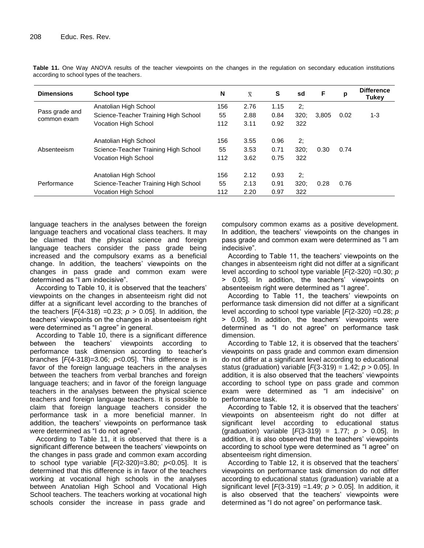| <b>Dimensions</b>             | <b>School type</b>                   | N   | $\overline{\mathbf{X}}$ | S    | sd   | F     | p    | <b>Difference</b><br>Tukey |
|-------------------------------|--------------------------------------|-----|-------------------------|------|------|-------|------|----------------------------|
|                               | Anatolian High School                | 156 | 2.76                    | 1.15 | 2;   |       |      |                            |
| Pass grade and<br>common exam | Science-Teacher Training High School | 55  | 2.88                    | 0.84 | 320: | 3.805 | 0.02 | 1-3                        |
|                               | <b>Vocation High School</b>          | 112 | 3.11                    | 0.92 | 322  |       |      |                            |
|                               | Anatolian High School                | 156 | 3.55                    | 0.96 | 2:   |       |      |                            |
| Absenteeism                   | Science-Teacher Training High School | 55  | 3.53                    | 0.71 | 320: | 0.30  | 0.74 |                            |
|                               | <b>Vocation High School</b>          | 112 | 3.62                    | 0.75 | 322  |       |      |                            |
|                               | Anatolian High School                | 156 | 2.12                    | 0.93 | 2;   |       |      |                            |
| Performance                   | Science-Teacher Training High School | 55  | 2.13                    | 0.91 | 320: | 0.28  | 0.76 |                            |
|                               | <b>Vocation High School</b>          | 112 | 2.20                    | 0.97 | 322  |       |      |                            |

**Table 11.** One Way ANOVA results of the teacher viewpoints on the changes in the regulation on secondary education institutions according to school types of the teachers.

language teachers in the analyses between the foreign language teachers and vocational class teachers. It may be claimed that the physical science and foreign language teachers consider the pass grade being increased and the compulsory exams as a beneficial change. In addition, the teachers' viewpoints on the changes in pass grade and common exam were determined as "I am indecisive".

According to Table 10, it is observed that the teachers' viewpoints on the changes in absenteeism right did not differ at a significant level according to the branches of the teachers  $[F(4-318) = 0.23; p > 0.05]$ . In addition, the teachers' viewpoints on the changes in absenteeism right were determined as "I agree" in general.

According to Table 10, there is a significant difference between the teachers' viewpoints according to performance task dimension according to teacher's branches [*F*(4-318)=3.06; *p*<0.05]. This difference is in favor of the foreign language teachers in the analyses between the teachers from verbal branches and foreign language teachers; and in favor of the foreign language teachers in the analyses between the physical science teachers and foreign language teachers. It is possible to claim that foreign language teachers consider the performance task in a more beneficial manner. In addition, the teachers' viewpoints on performance task were determined as "I do not agree".

According to Table 11, it is observed that there is a significant difference between the teachers' viewpoints on the changes in pass grade and common exam according to school type variable [*F*(2-320)=3.80; *p*<0.05]. It is determined that this difference is in favor of the teachers working at vocational high schools in the analyses between Anatolian High School and Vocational High School teachers. The teachers working at vocational high schools consider the increase in pass grade and

compulsory common exams as a positive development. In addition, the teachers' viewpoints on the changes in pass grade and common exam were determined as "I am indecisive".

According to Table 11, the teachers' viewpoints on the changes in absenteeism right did not differ at a significant level according to school type variable [*F*(2-320) =0.30; *p* > 0.05]. In addition, the teachers' viewpoints on absenteeism right were determined as "I agree".

According to Table 11, the teachers' viewpoints on performance task dimension did not differ at a significant level according to school type variable [*F*(2-320) =0.28; *p* > 0.05]. In addition, the teachers' viewpoints were determined as "I do not agree" on performance task dimension.

According to Table 12, it is observed that the teachers' viewpoints on pass grade and common exam dimension do not differ at a significant level according to educational status (graduation) variable [*F*(3-319) = 1.42; *p* > 0.05]. In addition, it is also observed that the teachers' viewpoints according to school type on pass grade and common exam were determined as "I am indecisive" on performance task.

According to Table 12, it is observed that the teachers' viewpoints on absenteeism right do not differ at significant level according to educational status (graduation) variable [*F*(3-319) = 1.77; *p* > 0.05]. In addition, it is also observed that the teachers' viewpoints according to school type were determined as "I agree" on absenteeism right dimension.

According to Table 12, it is observed that the teachers' viewpoints on performance task dimension do not differ according to educational status (graduation) variable at a significant level [*F*(3-319) =1.49; *p* > 0.05]. In addition, it is also observed that the teachers' viewpoints were determined as "I do not agree" on performance task.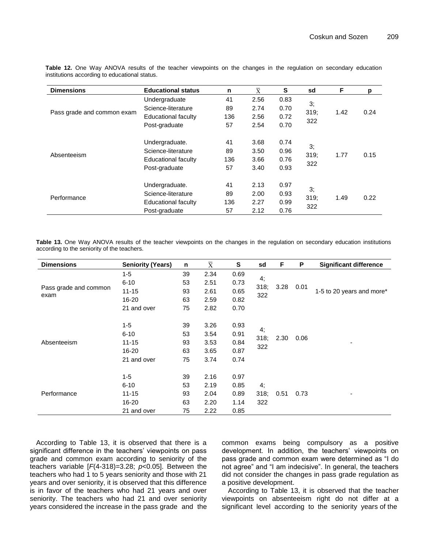| <b>Dimensions</b>          | <b>Educational status</b>  | n   | $\overline{\textbf{X}}$ | S    | sd          | F    | р    |
|----------------------------|----------------------------|-----|-------------------------|------|-------------|------|------|
| Pass grade and common exam | Undergraduate              | 41  | 2.56                    | 0.83 |             |      |      |
|                            | Science-literature         | 89  | 2.74                    | 0.70 | 3;          |      |      |
|                            | Educational faculty        | 136 | 2.56                    | 0.72 | 319:        | 1.42 | 0.24 |
|                            | Post-graduate              | 57  | 2.54                    | 0.70 | 322         |      |      |
|                            | Undergraduate.             | 41  | 3.68                    | 0.74 |             |      |      |
|                            | Science-literature         | 89  | 3.50                    | 0.96 | 3;          | 1.77 |      |
| Absenteeism                | Educational faculty        | 136 | 3.66                    | 0.76 | 319;<br>322 |      | 0.15 |
|                            | Post-graduate              | 57  | 3.40                    | 0.93 |             |      |      |
|                            | Undergraduate.             | 41  | 2.13                    | 0.97 |             |      |      |
|                            | Science-literature         | 89  | 2.00                    | 0.93 | 3;          |      | 0.22 |
| Performance                | <b>Educational faculty</b> | 136 | 2.27                    | 0.99 | 319:<br>322 | 1.49 |      |
|                            | Post-graduate              | 57  | 2.12                    | 0.76 |             |      |      |

**Table 12.** One Way ANOVA results of the teacher viewpoints on the changes in the regulation on secondary education institutions according to educational status.

Table 13. One Way ANOVA results of the teacher viewpoints on the changes in the regulation on secondary education institutions according to the seniority of the teachers.

| <b>Dimensions</b>             | <b>Seniority (Years)</b> | n  | $\overline{\textbf{X}}$ | S    | sd                | F    | P    | <b>Significant difference</b> |  |
|-------------------------------|--------------------------|----|-------------------------|------|-------------------|------|------|-------------------------------|--|
| Pass grade and common<br>exam | $1 - 5$                  | 39 | 2.34                    | 0.69 | 4;                | 3.28 | 0.01 |                               |  |
|                               | $6 - 10$                 | 53 | 2.51                    | 0.73 | 318;              |      |      |                               |  |
|                               | $11 - 15$                | 93 | 2.61                    | 0.65 | 322               |      |      | 1-5 to 20 years and more*     |  |
|                               | 16-20                    | 63 | 2.59                    | 0.82 |                   |      |      |                               |  |
|                               | 21 and over              | 75 | 2.82                    | 0.70 |                   |      |      |                               |  |
| Absenteeism                   | $1 - 5$                  | 39 | 3.26                    | 0.93 | 4;<br>318;<br>322 | 2.30 | 0.06 |                               |  |
|                               | $6 - 10$                 | 53 | 3.54                    | 0.91 |                   |      |      |                               |  |
|                               | $11 - 15$                | 93 | 3.53                    | 0.84 |                   |      |      |                               |  |
|                               | 16-20                    | 63 | 3.65                    | 0.87 |                   |      |      |                               |  |
|                               | 21 and over              | 75 | 3.74                    | 0.74 |                   |      |      |                               |  |
| Performance                   | $1 - 5$                  | 39 | 2.16                    | 0.97 |                   |      |      |                               |  |
|                               | $6 - 10$                 | 53 | 2.19                    | 0.85 | 4,                |      |      |                               |  |
|                               | $11 - 15$                | 93 | 2.04                    | 0.89 | 318;              | 0.51 | 0.73 | $\overline{\phantom{a}}$      |  |
|                               | 16-20                    | 63 | 2.20                    | 1.14 | 322               |      |      |                               |  |
|                               | 21 and over              | 75 | 2.22                    | 0.85 |                   |      |      |                               |  |

According to Table 13, it is observed that there is a significant difference in the teachers' viewpoints on pass grade and common exam according to seniority of the teachers variable [*F*(4-318)=3.28; *p*<0.05]. Between the teachers who had 1 to 5 years seniority and those with 21 years and over seniority, it is observed that this difference is in favor of the teachers who had 21 years and over seniority. The teachers who had 21 and over seniority years considered the increase in the pass grade and the

common exams being compulsory as a positive development. In addition, the teachers' viewpoints on pass grade and common exam were determined as "I do not agree" and "I am indecisive". In general, the teachers did not consider the changes in pass grade regulation as a positive development.

According to Table 13, it is observed that the teacher viewpoints on absenteeism right do not differ at a significant level according to the seniority years of the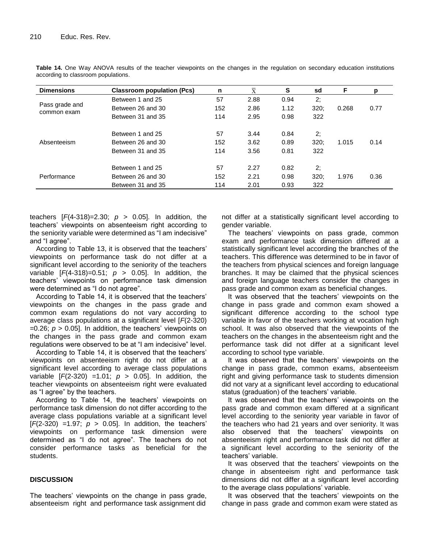| <b>Dimensions</b>             | <b>Classroom population (Pcs)</b> | n   | $\mathbf x$ | S    | sd   | F     | р    |
|-------------------------------|-----------------------------------|-----|-------------|------|------|-------|------|
| Pass grade and<br>common exam | Between 1 and 25                  | 57  | 2.88        | 0.94 | 2;   |       |      |
|                               | Between 26 and 30                 | 152 | 2.86        | 1.12 | 320: | 0.268 | 0.77 |
|                               | Between 31 and 35                 | 114 | 2.95        | 0.98 | 322  |       |      |
| Absenteeism                   | Between 1 and 25                  | 57  | 3.44        | 0.84 | 2:   |       |      |
|                               | Between 26 and 30                 | 152 | 3.62        | 0.89 | 320: | 1.015 | 0.14 |
|                               | Between 31 and 35                 | 114 | 3.56        | 0.81 | 322  |       |      |
| Performance                   | Between 1 and 25                  | 57  | 2.27        | 0.82 | 2:   |       |      |
|                               | Between 26 and 30                 | 152 | 2.21        | 0.98 | 320: | 1.976 | 0.36 |
|                               | Between 31 and 35                 | 114 | 2.01        | 0.93 | 322  |       |      |

**Table 14.** One Way ANOVA results of the teacher viewpoints on the changes in the regulation on secondary education institutions according to classroom populations.

teachers [*F*(4-318)=2.30; *p* > 0.05]. In addition, the teachers' viewpoints on absenteeism right according to the seniority variable were determined as "I am indecisive" and "I agree".

According to Table 13, it is observed that the teachers' viewpoints on performance task do not differ at a significant level according to the seniority of the teachers variable [*F*(4-318)=0.51; *p* > 0.05]. In addition, the teachers' viewpoints on performance task dimension were determined as "I do not agree".

According to Table 14, it is observed that the teachers' viewpoints on the changes in the pass grade and common exam regulations do not vary according to average class populations at a significant level [*F*(2-320) =0.26; *p* > 0.05]. In addition, the teachers' viewpoints on the changes in the pass grade and common exam regulations were observed to be at "I am indecisive" level.

According to Table 14, it is observed that the teachers' viewpoints on absenteeism right do not differ at a significant level according to average class populations variable  $[F(2-320) = 1.01; p > 0.05]$ . In addition, the teacher viewpoints on absenteeism right were evaluated as "I agree" by the teachers.

According to Table 14, the teachers' viewpoints on performance task dimension do not differ according to the average class populations variable at a significant level  $[F(2-320) = 1.97; p > 0.05]$ . In addition, the teachers' viewpoints on performance task dimension were determined as "I do not agree". The teachers do not consider performance tasks as beneficial for the students.

## **DISCUSSION**

The teachers' viewpoints on the change in pass grade, absenteeism right and performance task assignment did

not differ at a statistically significant level according to gender variable.

The teachers' viewpoints on pass grade, common exam and performance task dimension differed at a statistically significant level according the branches of the teachers. This difference was determined to be in favor of the teachers from physical sciences and foreign language branches. It may be claimed that the physical sciences and foreign language teachers consider the changes in pass grade and common exam as beneficial changes.

It was observed that the teachers' viewpoints on the change in pass grade and common exam showed a significant difference according to the school type variable in favor of the teachers working at vocation high school. It was also observed that the viewpoints of the teachers on the changes in the absenteeism right and the performance task did not differ at a significant level according to school type variable.

It was observed that the teachers' viewpoints on the change in pass grade, common exams, absenteeism right and giving performance task to students dimension did not vary at a significant level according to educational status (graduation) of the teachers' variable.

It was observed that the teachers' viewpoints on the pass grade and common exam differed at a significant level according to the seniority year variable in favor of the teachers who had 21 years and over seniority. It was also observed that the teachers' viewpoints on absenteeism right and performance task did not differ at a significant level according to the seniority of the teachers' variable.

It was observed that the teachers' viewpoints on the change in absenteeism right and performance task dimensions did not differ at a significant level according to the average class populations' variable.

It was observed that the teachers' viewpoints on the change in pass grade and common exam were stated as